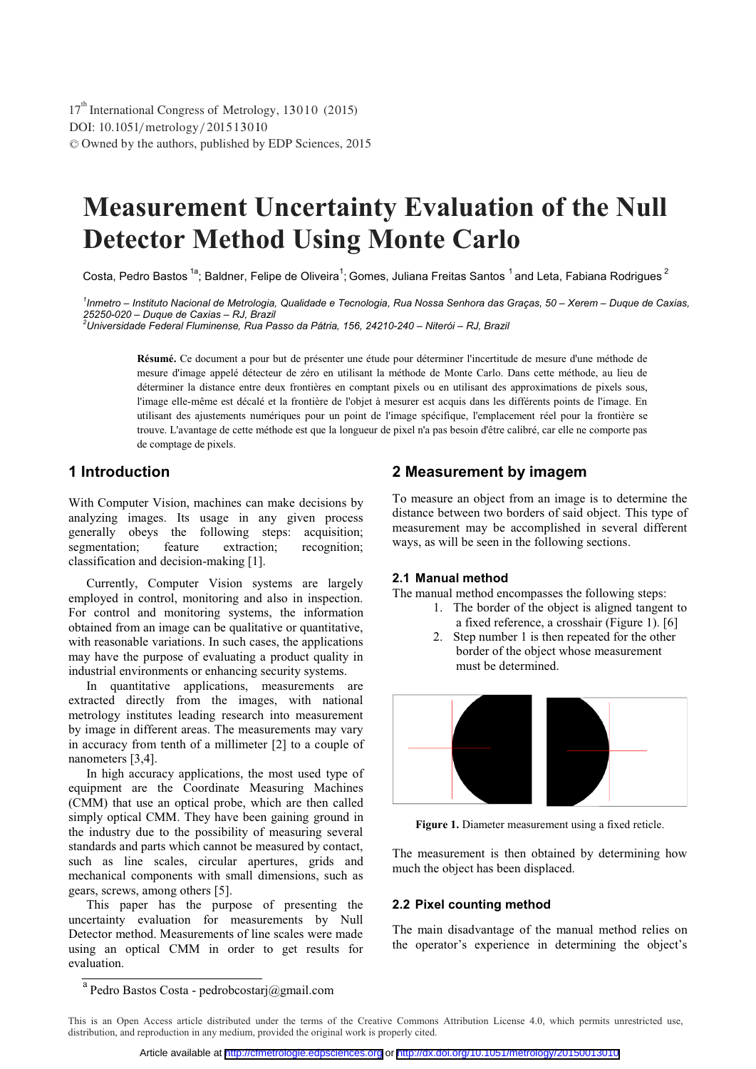DOI: 10.1051/metrology/201513010 -<sup>C</sup> Owned by the authors, published by EDP Sciences, 2015 17<sup>th</sup> International Congress of Metrology, 13010 (2015)

# **Measurement Uncertainty Evaluation of the Null Detector Method Using Monte Carlo**

Costa, Pedro Bastos <sup>1a</sup>; Baldner, Felipe de Oliveira<sup>1</sup>; Gomes, Juliana Freitas Santos <sup>1</sup> and Leta, Fabiana Rodrigues <sup>2</sup>

*1 Inmetro – Instituto Nacional de Metrologia, Qualidade e Tecnologia, Rua Nossa Senhora das Graças, 50 – Xerem – Duque de Caxias, 25250-020 – Duque de Caxias – RJ, Brazil 2*

*Universidade Federal Fluminense, Rua Passo da Pátria, 156, 24210-240 – Niterói – RJ, Brazil* 

**Résumé.** Ce document a pour but de présenter une étude pour déterminer l'incertitude de mesure d'une méthode de mesure d'image appelé détecteur de zéro en utilisant la méthode de Monte Carlo. Dans cette méthode, au lieu de déterminer la distance entre deux frontières en comptant pixels ou en utilisant des approximations de pixels sous, l'image elle-même est décalé et la frontière de l'objet à mesurer est acquis dans les différents points de l'image. En utilisant des ajustements numériques pour un point de l'image spécifique, l'emplacement réel pour la frontière se trouve. L'avantage de cette méthode est que la longueur de pixel n'a pas besoin d'être calibré, car elle ne comporte pas de comptage de pixels.

# **1 Introduction**

With Computer Vision, machines can make decisions by analyzing images. Its usage in any given process generally obeys the following steps: acquisition; segmentation; feature extraction; recognition; classification and decision-making [1].

Currently, Computer Vision systems are largely employed in control, monitoring and also in inspection. For control and monitoring systems, the information obtained from an image can be qualitative or quantitative, with reasonable variations. In such cases, the applications may have the purpose of evaluating a product quality in industrial environments or enhancing security systems.

In quantitative applications, measurements are extracted directly from the images, with national metrology institutes leading research into measurement by image in different areas. The measurements may vary in accuracy from tenth of a millimeter [2] to a couple of nanometers [3,4].

In high accuracy applications, the most used type of equipment are the Coordinate Measuring Machines (CMM) that use an optical probe, which are then called simply optical CMM. They have been gaining ground in the industry due to the possibility of measuring several standards and parts which cannot be measured by contact, such as line scales, circular apertures, grids and mechanical components with small dimensions, such as gears, screws, among others [5].

This paper has the purpose of presenting the uncertainty evaluation for measurements by Null Detector method. Measurements of line scales were made using an optical CMM in order to get results for evaluation.

## **2 Measurement by imagem**

To measure an object from an image is to determine the distance between two borders of said object. This type of measurement may be accomplished in several different ways, as will be seen in the following sections.

# **2.1 Manual method**

The manual method encompasses the following steps:

- 1. The border of the object is aligned tangent to a fixed reference, a crosshair (Figure 1). [6]
- 2. Step number 1 is then repeated for the other border of the object whose measurement must be determined.



**Figure 1.** Diameter measurement using a fixed reticle.

The measurement is then obtained by determining how much the object has been displaced.

#### **2.2 Pixel counting method**

The main disadvantage of the manual method relies on the operator's experience in determining the object's

 $^{\rm a}$  Pedro Bastos Costa - pedrobcostarj@gmail.com

This is an Open Access article distributed under the terms of the Creative Commons Attribution License 4.0, which permits unrestricted use, distribution, and reproduction in any medium, provided the original work is properly cited.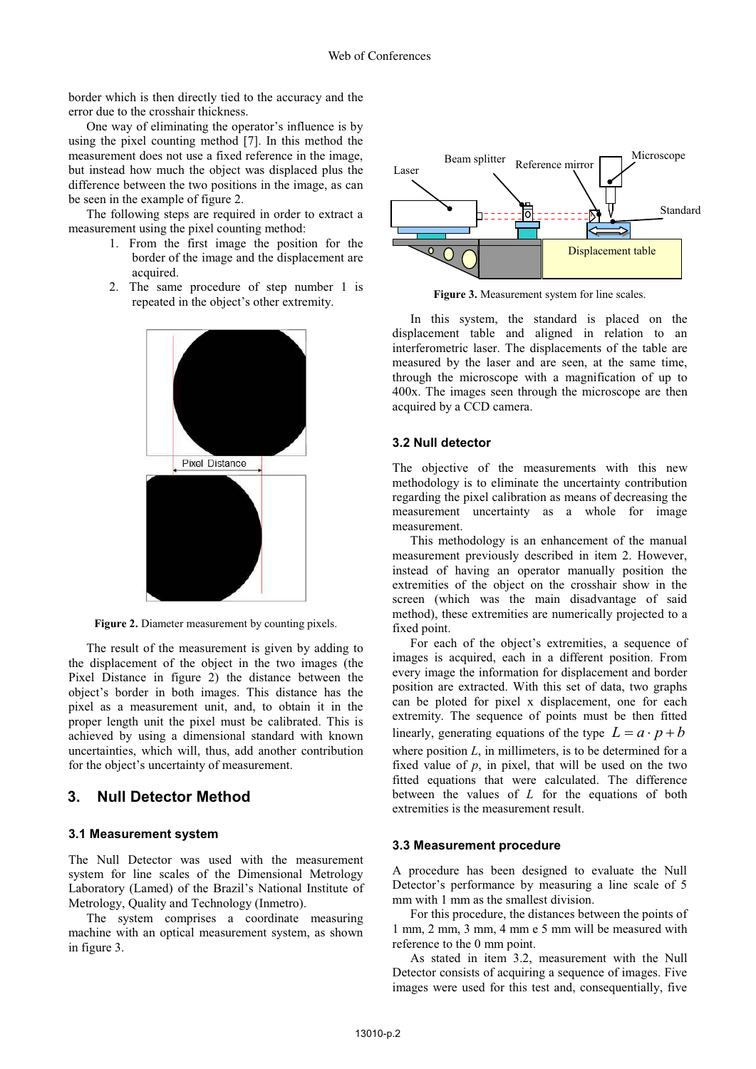border which is then directly tied to the accuracy and the error due to the crosshair thickness.

One way of eliminating the operator's influence is by using the pixel counting method [7]. In this method the measurement does not use a fixed reference in the image, but instead how much the object was displaced plus the difference between the two positions in the image, as can be seen in the example of figure 2.

The following steps are required in order to extract a measurement using the pixel counting method:

- 1. From the first image the position for the border of the image and the displacement are acquired.
- 2. The same procedure of step number 1 is repeated in the object's other extremity.



**Figure 2.** Diameter measurement by counting pixels.

The result of the measurement is given by adding to the displacement of the object in the two images (the Pixel Distance in figure 2) the distance between the object's border in both images. This distance has the pixel as a measurement unit, and, to obtain it in the proper length unit the pixel must be calibrated. This is achieved by using a dimensional standard with known uncertainties, which will, thus, add another contribution for the object's uncertainty of measurement.

## **3. Null Detector Method**

#### **3.1 Measurement system**

The Null Detector was used with the measurement system for line scales of the Dimensional Metrology Laboratory (Lamed) of the Brazil's National Institute of Metrology, Quality and Technology (Inmetro).

The system comprises a coordinate measuring machine with an optical measurement system, as shown in figure 3.



**Figure 3.** Measurement system for line scales.

In this system, the standard is placed on the displacement table and aligned in relation to an interferometric laser. The displacements of the table are measured by the laser and are seen, at the same time, through the microscope with a magnification of up to 400x. The images seen through the microscope are then acquired by a CCD camera.

#### **3.2 Null detector**

The objective of the measurements with this new methodology is to eliminate the uncertainty contribution regarding the pixel calibration as means of decreasing the measurement uncertainty as a whole for image measurement.

This methodology is an enhancement of the manual measurement previously described in item 2. However, instead of having an operator manually position the extremities of the object on the crosshair show in the screen (which was the main disadvantage of said method), these extremities are numerically projected to a fixed point.

For each of the object's extremities, a sequence of images is acquired, each in a different position. From every image the information for displacement and border position are extracted. With this set of data, two graphs can be ploted for pixel x displacement, one for each extremity. The sequence of points must be then fitted linearly, generating equations of the type  $L = a \cdot p + b$ where position *L*, in millimeters, is to be determined for a fixed value of  $p$ , in pixel, that will be used on the two fitted equations that were calculated. The difference between the values of *L* for the equations of both extremities is the measurement result.

#### **3.3 Measurement procedure**

A procedure has been designed to evaluate the Null Detector's performance by measuring a line scale of 5 mm with 1 mm as the smallest division.

For this procedure, the distances between the points of 1 mm, 2 mm, 3 mm, 4 mm e 5 mm will be measured with reference to the 0 mm point.

As stated in item 3.2, measurement with the Null Detector consists of acquiring a sequence of images. Five images were used for this test and, consequentially, five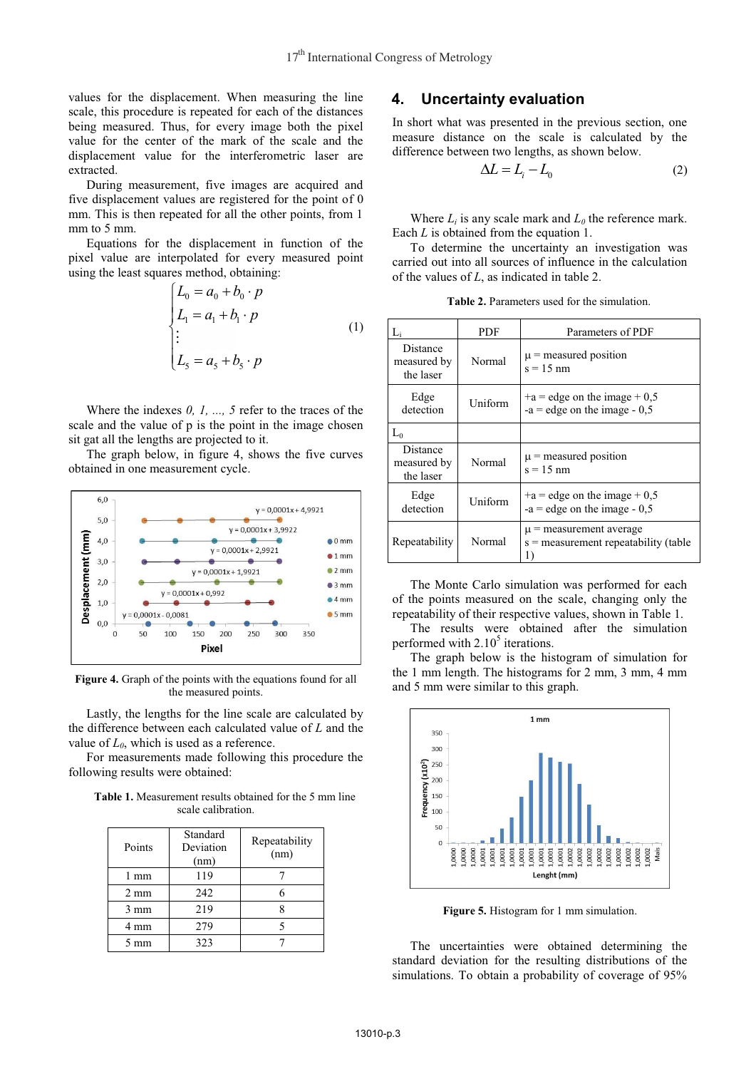values for the displacement. When measuring the line scale, this procedure is repeated for each of the distances being measured. Thus, for every image both the pixel value for the center of the mark of the scale and the displacement value for the interferometric laser are extracted.

During measurement, five images are acquired and five displacement values are registered for the point of 0 mm. This is then repeated for all the other points, from 1 mm to 5 mm.

Equations for the displacement in function of the pixel value are interpolated for every measured point using the least squares method, obtaining:

$$
\begin{cases}\nL_0 = a_0 + b_0 \cdot p \\
L_1 = a_1 + b_1 \cdot p \\
\vdots \\
L_5 = a_5 + b_5 \cdot p\n\end{cases} (1)
$$

Where the indexes *0, 1, ..., 5* refer to the traces of the scale and the value of p is the point in the image chosen sit gat all the lengths are projected to it.

The graph below, in figure 4, shows the five curves obtained in one measurement cycle.



Figure 4. Graph of the points with the equations found for all the measured points.

Lastly, the lengths for the line scale are calculated by the difference between each calculated value of *L* and the value of  $L_0$ , which is used as a reference.

For measurements made following this procedure the following results were obtained:

**Table 1.** Measurement results obtained for the 5 mm line scale calibration.

| Points         | Standard<br>Deviation<br>(nm) | Repeatability<br>(nm) |
|----------------|-------------------------------|-----------------------|
| $1 \text{ mm}$ | 119                           |                       |
| $2 \text{ mm}$ | 242                           |                       |
| $3 \text{ mm}$ | 219                           |                       |
| 4 mm           | 279                           |                       |
| $5 \text{ mm}$ | 323                           |                       |

## **4. Uncertainty evaluation**

In short what was presented in the previous section, one measure distance on the scale is calculated by the difference between two lengths, as shown below.

$$
\Delta L = L_i - L_0 \tag{2}
$$

Where  $L_i$  is any scale mark and  $L_0$  the reference mark. Each *L* is obtained from the equation 1.

To determine the uncertainty an investigation was carried out into all sources of influence in the calculation of the values of *L*, as indicated in table 2.

**Table 2.** Parameters used for the simulation.

|                                      | <b>PDF</b> | Parameters of PDF                                                          |  |
|--------------------------------------|------------|----------------------------------------------------------------------------|--|
| Distance<br>measured by<br>the laser | Normal     | $\mu$ = measured position<br>$s = 15$ nm                                   |  |
| Edge<br>detection                    | Uniform    | $+a =$ edge on the image $+ 0.5$<br>$-a =$ edge on the image $-0,5$        |  |
| $L_0$                                |            |                                                                            |  |
| Distance<br>measured by<br>the laser | Normal     | $\mu$ = measured position<br>$s = 15$ nm                                   |  |
| Edge<br>detection                    | Uniform    | $+a =$ edge on the image $+ 0.5$<br>$-a =$ edge on the image $-0.5$        |  |
| Repeatability                        | Normal     | $\mu$ = measurement average<br>$s =$ measurement repeatability (table<br>1 |  |

The Monte Carlo simulation was performed for each of the points measured on the scale, changing only the repeatability of their respective values, shown in Table 1.

The results were obtained after the simulation performed with  $2.10<sup>5</sup>$  iterations.

The graph below is the histogram of simulation for the 1 mm length. The histograms for 2 mm, 3 mm, 4 mm and 5 mm were similar to this graph.



**Figure 5.** Histogram for 1 mm simulation.

The uncertainties were obtained determining the standard deviation for the resulting distributions of the simulations. To obtain a probability of coverage of 95%